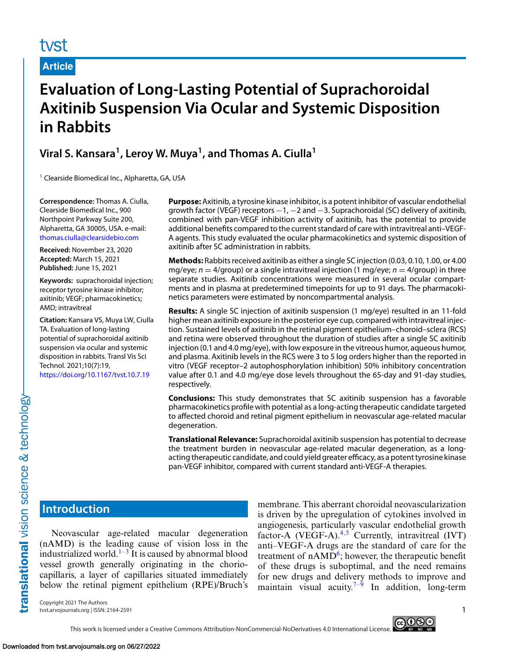#### **Article**

# **Evaluation of Long-Lasting Potential of Suprachoroidal Axitinib Suspension Via Ocular and Systemic Disposition in Rabbits**

## **Viral S. Kansara1, Leroy W. Muya1, and Thomas A. Ciulla1**

<sup>1</sup> Clearside Biomedical Inc., Alpharetta, GA, USA

**Correspondence:** Thomas A. Ciulla, Clearside Biomedical Inc., 900 Northpoint Parkway Suite 200, Alpharetta, GA 30005, USA. e-mail: [thomas.ciulla@clearsidebio.com](mailto:thomas.ciulla@clearsidebio.com)

**Received:** November 23, 2020 **Accepted:** March 15, 2021 **Published:** June 15, 2021

**Keywords:** suprachoroidal injection; receptor tyrosine kinase inhibitor; axitinib; VEGF; pharmacokinetics; AMD; intravitreal

**Citation:** Kansara VS, Muya LW, Ciulla TA. Evaluation of long-lasting potential of suprachoroidal axitinib suspension via ocular and systemic disposition in rabbits. Transl Vis Sci Technol. 2021;10(7):19,

<https://doi.org/10.1167/tvst.10.7.19>

**Purpose:** Axitinib, a tyrosine kinase inhibitor, is a potent inhibitor of vascular endothelial growth factor (VEGF) receptors −1, −2 and −3. Suprachoroidal (SC) delivery of axitinib, combined with pan-VEGF inhibition activity of axitinib, has the potential to provide additional benefits compared to the current standard of care with intravitreal anti–VEGF-A agents. This study evaluated the ocular pharmacokinetics and systemic disposition of axitinib after SC administration in rabbits.

**Methods:** Rabbits received axitinib as either a single SC injection (0.03, 0.10, 1.00, or 4.00 mg/eye; *<sup>n</sup>* <sup>=</sup> 4/group) or a single intravitreal injection (1 mg/eye; *<sup>n</sup>* <sup>=</sup> 4/group) in three separate studies. Axitinib concentrations were measured in several ocular compartments and in plasma at predetermined timepoints for up to 91 days. The pharmacokinetics parameters were estimated by noncompartmental analysis.

**Results:** A single SC injection of axitinib suspension (1 mg/eye) resulted in an 11-fold higher mean axitinib exposure in the posterior eye cup, compared with intravitreal injection. Sustained levels of axitinib in the retinal pigment epithelium–choroid–sclera (RCS) and retina were observed throughout the duration of studies after a single SC axitinib injection (0.1 and 4.0 mg/eye), with low exposure in the vitreous humor, aqueous humor, and plasma. Axitinib levels in the RCS were 3 to 5 log orders higher than the reported in vitro (VEGF receptor–2 autophosphorylation inhibition) 50% inhibitory concentration value after 0.1 and 4.0 mg/eye dose levels throughout the 65-day and 91-day studies, respectively.

**Conclusions:** This study demonstrates that SC axitinib suspension has a favorable pharmacokinetics profile with potential as a long-acting therapeutic candidate targeted to affected choroid and retinal pigment epithelium in neovascular age-related macular degeneration.

**Translational Relevance:** Suprachoroidal axitinib suspension has potential to decrease the treatment burden in neovascular age-related macular degeneration, as a longacting therapeutic candidate, and could yield greater efficacy, as a potent tyrosine kinase pan-VEGF inhibitor, compared with current standard anti-VEGF-A therapies.

## **Introduction**

Neovascular age-related macular degeneration (nAMD) is the leading cause of vision loss in the industrialized world.<sup>[1–3](#page-8-0)</sup> It is caused by abnormal blood vessel growth generally originating in the choriocapillaris, a layer of capillaries situated immediately below the retinal pigment epithelium (RPE)/Bruch's membrane. This aberrant choroidal neovascularization is driven by the upregulation of cytokines involved in angiogenesis, particularly vascular endothelial growth factor-A (VEGF-A). $4,5$  Currently, intravitreal (IVT) anti–VEGF-A drugs are the standard of care for the treatment of  $nAMD<sup>6</sup>$ ; however, the therapeutic benefit of these drugs is suboptimal, and the need remains for new drugs and delivery methods to improve and maintain visual acuity.<sup> $7-\frac{6}{9}$  $7-\frac{6}{9}$ </sup> In addition, long-term

Copyright 2021 The Authors tvst.arvojournals.org | ISSN: 2164-2591 1

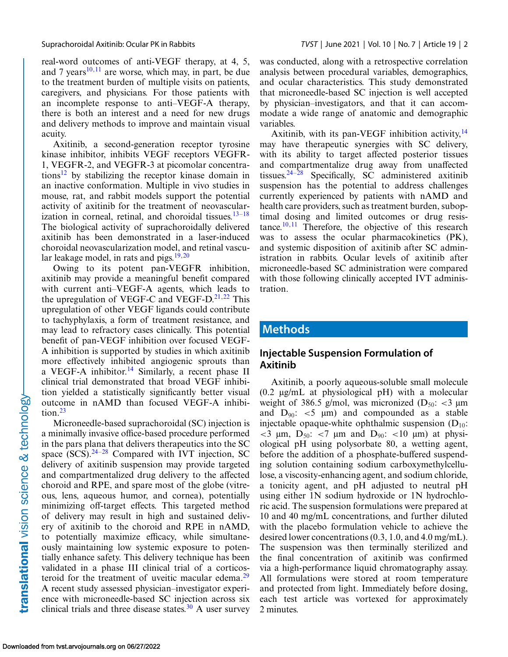real-word outcomes of anti-VEGF therapy, at 4, 5, and 7 years<sup>[10,11](#page-9-0)</sup> are worse, which may, in part, be due to the treatment burden of multiple visits on patients, caregivers, and physicians. For those patients with an incomplete response to anti–VEGF-A therapy, there is both an interest and a need for new drugs and delivery methods to improve and maintain visual acuity.

Axitinib, a second-generation receptor tyrosine kinase inhibitor, inhibits VEGF receptors VEGFR-1, VEGFR-2, and VEGFR-3 at picomolar concentrations<sup>12</sup> by stabilizing the receptor kinase domain in an inactive conformation. Multiple in vivo studies in mouse, rat, and rabbit models support the potential activity of axitinib for the treatment of neovascularization in corneal, retinal, and choroidal tissues. $13-18$ The biological activity of suprachoroidally delivered axitinib has been demonstrated in a laser-induced choroidal neovascularization model, and retinal vascular leakage model, in rats and pigs. $19,20$ 

Owing to its potent pan-VEGFR inhibition, axitinib may provide a meaningful benefit compared with current anti–VEGF-A agents, which leads to the upregulation of VEGF-C and VEGF-D. $21,22$  This upregulation of other VEGF ligands could contribute to tachyphylaxis, a form of treatment resistance, and may lead to refractory cases clinically. This potential benefit of pan-VEGF inhibition over focused VEGF-A inhibition is supported by studies in which axitinib more effectively inhibited angiogenic sprouts than a VEGF-A inhibitor.<sup>[14](#page-9-0)</sup> Similarly, a recent phase II clinical trial demonstrated that broad VEGF inhibition yielded a statistically significantly better visual outcome in nAMD than focused VEGF-A inhibition[.23](#page-9-0)

Microneedle-based suprachoroidal (SC) injection is a minimally invasive office-based procedure performed in the pars plana that delivers therapeutics into the SC space (SCS). $24-28$  Compared with IVT injection, SC delivery of axitinib suspension may provide targeted and compartmentalized drug delivery to the affected choroid and RPE, and spare most of the globe (vitreous, lens, aqueous humor, and cornea), potentially minimizing off-target effects. This targeted method of delivery may result in high and sustained delivery of axitinib to the choroid and RPE in nAMD, to potentially maximize efficacy, while simultaneously maintaining low systemic exposure to potentially enhance safety. This delivery technique has been validated in a phase III clinical trial of a corticos-teroid for the treatment of uveitic macular edema.<sup>[29](#page-9-0)</sup> A recent study assessed physician–investigator experience with microneedle-based SC injection across six clinical trials and three disease states.<sup>[30](#page-9-0)</sup> A user survey was conducted, along with a retrospective correlation analysis between procedural variables, demographics, and ocular characteristics. This study demonstrated that microneedle-based SC injection is well accepted by physician–investigators, and that it can accommodate a wide range of anatomic and demographic variables.

Axitinib, with its pan-VEGF inhibition activity, $^{14}$  $^{14}$  $^{14}$ may have therapeutic synergies with SC delivery, with its ability to target affected posterior tissues and compartmentalize drug away from unaffected tissues. $24-28$  Specifically, SC administered axitinib suspension has the potential to address challenges currently experienced by patients with nAMD and health care providers, such as treatment burden, suboptimal dosing and limited outcomes or drug resis-tance.<sup>[10,11](#page-9-0)</sup> Therefore, the objective of this research was to assess the ocular pharmacokinetics (PK), and systemic disposition of axitinib after SC administration in rabbits. Ocular levels of axitinib after microneedle-based SC administration were compared with those following clinically accepted IVT administration.

#### **Methods**

#### **Injectable Suspension Formulation of Axitinib**

Axitinib, a poorly aqueous-soluble small molecule (0.2 μg/mL at physiological pH) with a molecular weight of 386.5 g/mol, was micronized ( $D_{50}$ : <3  $\mu$ m and  $D_{90}$ :  $\lt 5 \mu m$  and compounded as a stable injectable opaque-white ophthalmic suspension  $(D_{10}$ :  $<$ 3 μm, D<sub>50</sub>:  $<$ 7 μm and D<sub>90</sub>:  $<$ 10 μm) at physiological pH using polysorbate 80, a wetting agent, before the addition of a phosphate-buffered suspending solution containing sodium carboxymethylcellulose, a viscosity-enhancing agent, and sodium chloride, a tonicity agent, and pH adjusted to neutral pH using either 1N sodium hydroxide or 1N hydrochloric acid. The suspension formulations were prepared at 10 and 40 mg/mL concentrations, and further diluted with the placebo formulation vehicle to achieve the desired lower concentrations (0.3, 1.0, and 4.0 mg/mL). The suspension was then terminally sterilized and the final concentration of axitinib was confirmed via a high-performance liquid chromatography assay. All formulations were stored at room temperature and protected from light. Immediately before dosing, each test article was vortexed for approximately 2 minutes.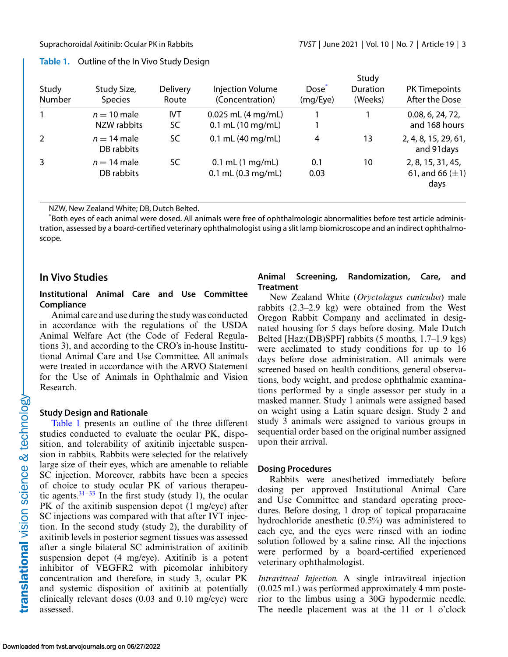| Study<br>Number | Study Size,<br><b>Species</b> | <b>Delivery</b><br>Route | <b>Injection Volume</b><br>(Concentration)     | Dose <sup>*</sup><br>(mg/Eye) | Study<br>Duration<br>(Weeks) | <b>PK Timepoints</b><br>After the Dose            |
|-----------------|-------------------------------|--------------------------|------------------------------------------------|-------------------------------|------------------------------|---------------------------------------------------|
|                 | $n = 10$ male<br>NZW rabbits  | IVT<br>SC                | $0.025$ mL (4 mg/mL)<br>$0.1$ mL (10 mg/mL)    |                               |                              | 0.08, 6, 24, 72,<br>and 168 hours                 |
| 2               | $n = 14$ male<br>DB rabbits   | SC.                      | $0.1$ mL (40 mg/mL)                            | 4                             | 13                           | 2, 4, 8, 15, 29, 61,<br>and 91 days               |
| 3               | $n = 14$ male<br>DB rabbits   | SC.                      | $0.1$ mL $(1$ mg/mL)<br>$0.1$ mL $(0.3$ mg/mL) | 0.1<br>0.03                   | 10                           | 2, 8, 15, 31, 45,<br>61, and 66 $(\pm 1)$<br>days |

<span id="page-2-0"></span>**Table 1.** Outline of the In Vivo Study Design

NZW, New Zealand White; DB, Dutch Belted.

\* Both eyes of each animal were dosed. All animals were free of ophthalmologic abnormalities before test article administration, assessed by a board-certified veterinary ophthalmologist using a slit lamp biomicroscope and an indirect ophthalmoscope.

#### **In Vivo Studies**

#### **Institutional Animal Care and Use Committee Compliance**

Animal care and use during the study was conducted in accordance with the regulations of the USDA Animal Welfare Act (the Code of Federal Regulations 3), and according to the CRO's in-house Institutional Animal Care and Use Committee. All animals were treated in accordance with the ARVO Statement for the Use of Animals in Ophthalmic and Vision Research.

#### **Study Design and Rationale**

Table 1 presents an outline of the three different studies conducted to evaluate the ocular PK, disposition, and tolerability of axitinib injectable suspension in rabbits. Rabbits were selected for the relatively large size of their eyes, which are amenable to reliable SC injection. Moreover, rabbits have been a species of choice to study ocular PK of various therapeutic agents. $31-33$  $31-33$  In the first study (study 1), the ocular PK of the axitinib suspension depot (1 mg/eye) after SC injections was compared with that after IVT injection. In the second study (study 2), the durability of axitinib levels in posterior segment tissues was assessed after a single bilateral SC administration of axitinib suspension depot (4 mg/eye). Axitinib is a potent inhibitor of VEGFR2 with picomolar inhibitory concentration and therefore, in study 3, ocular PK and systemic disposition of axitinib at potentially clinically relevant doses (0.03 and 0.10 mg/eye) were assessed.

#### **Animal Screening, Randomization, Care, and Treatment**

New Zealand White (*Oryctolagus cuniculus*) male rabbits (2.3–2.9 kg) were obtained from the West Oregon Rabbit Company and acclimated in designated housing for 5 days before dosing. Male Dutch Belted [Haz:(DB)SPF] rabbits (5 months, 1.7–1.9 kgs) were acclimated to study conditions for up to 16 days before dose administration. All animals were screened based on health conditions, general observations, body weight, and predose ophthalmic examinations performed by a single assessor per study in a masked manner. Study 1 animals were assigned based on weight using a Latin square design. Study 2 and study 3 animals were assigned to various groups in sequential order based on the original number assigned upon their arrival.

#### **Dosing Procedures**

Rabbits were anesthetized immediately before dosing per approved Institutional Animal Care and Use Committee and standard operating procedures. Before dosing, 1 drop of topical proparacaine hydrochloride anesthetic (0.5%) was administered to each eye, and the eyes were rinsed with an iodine solution followed by a saline rinse. All the injections were performed by a board-certified experienced veterinary ophthalmologist.

*Intravitreal Injection.* A single intravitreal injection (0.025 mL) was performed approximately 4 mm posterior to the limbus using a 30G hypodermic needle. The needle placement was at the 11 or 1 o'clock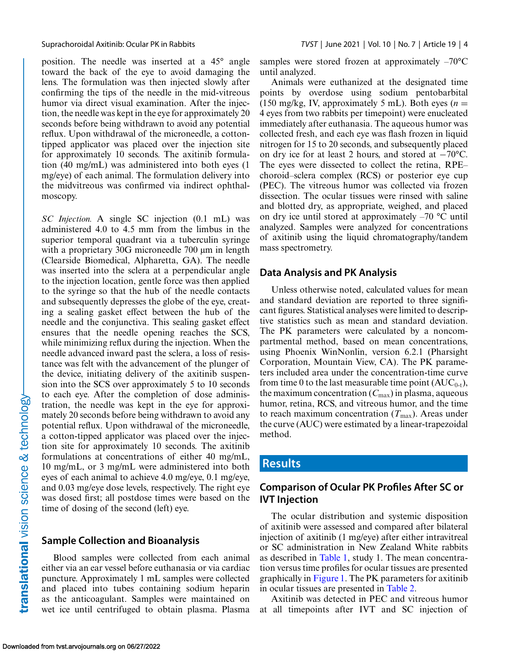position. The needle was inserted at a 45° angle toward the back of the eye to avoid damaging the lens. The formulation was then injected slowly after confirming the tips of the needle in the mid-vitreous humor via direct visual examination. After the injection, the needle was kept in the eye for approximately 20 seconds before being withdrawn to avoid any potential reflux. Upon withdrawal of the microneedle, a cottontipped applicator was placed over the injection site for approximately 10 seconds. The axitinib formulation (40 mg/mL) was administered into both eyes (1 mg/eye) of each animal. The formulation delivery into the midvitreous was confirmed via indirect ophthalmoscopy.

*SC Injection.* A single SC injection (0.1 mL) was administered 4.0 to 4.5 mm from the limbus in the superior temporal quadrant via a tuberculin syringe with a proprietary 30G microneedle 700 μm in length (Clearside Biomedical, Alpharetta, GA). The needle was inserted into the sclera at a perpendicular angle to the injection location, gentle force was then applied to the syringe so that the hub of the needle contacts and subsequently depresses the globe of the eye, creating a sealing gasket effect between the hub of the needle and the conjunctiva. This sealing gasket effect ensures that the needle opening reaches the SCS, while minimizing reflux during the injection. When the needle advanced inward past the sclera, a loss of resistance was felt with the advancement of the plunger of the device, initiating delivery of the axitinib suspension into the SCS over approximately 5 to 10 seconds to each eye. After the completion of dose administration, the needle was kept in the eye for approximately 20 seconds before being withdrawn to avoid any potential reflux. Upon withdrawal of the microneedle, a cotton-tipped applicator was placed over the injection site for approximately 10 seconds. The axitinib formulations at concentrations of either 40 mg/mL, 10 mg/mL, or 3 mg/mL were administered into both eyes of each animal to achieve 4.0 mg/eye, 0.1 mg/eye, and 0.03 mg/eye dose levels, respectively. The right eye was dosed first; all postdose times were based on the time of dosing of the second (left) eye.

#### **Sample Collection and Bioanalysis**

Blood samples were collected from each animal either via an ear vessel before euthanasia or via cardiac puncture. Approximately 1 mL samples were collected and placed into tubes containing sodium heparin as the anticoagulant. Samples were maintained on wet ice until centrifuged to obtain plasma. Plasma samples were stored frozen at approximately  $-70^{\circ}$ C until analyzed.

Animals were euthanized at the designated time points by overdose using sodium pentobarbital (150 mg/kg, IV, approximately 5 mL). Both eyes  $(n =$ 4 eyes from two rabbits per timepoint) were enucleated immediately after euthanasia. The aqueous humor was collected fresh, and each eye was flash frozen in liquid nitrogen for 15 to 20 seconds, and subsequently placed on dry ice for at least 2 hours, and stored at −70°C. The eyes were dissected to collect the retina, RPE– choroid–sclera complex (RCS) or posterior eye cup (PEC). The vitreous humor was collected via frozen dissection. The ocular tissues were rinsed with saline and blotted dry, as appropriate, weighed, and placed on dry ice until stored at approximately –70 °C until analyzed. Samples were analyzed for concentrations of axitinib using the liquid chromatography/tandem mass spectrometry.

#### **Data Analysis and PK Analysis**

Unless otherwise noted, calculated values for mean and standard deviation are reported to three significant figures. Statistical analyses were limited to descriptive statistics such as mean and standard deviation. The PK parameters were calculated by a noncompartmental method, based on mean concentrations, using Phoenix WinNonlin, version 6.2.1 (Pharsight Corporation, Mountain View, CA). The PK parameters included area under the concentration-time curve from time 0 to the last measurable time point  $(AUC_{0-t}),$ the maximum concentration  $(C_{\text{max}})$  in plasma, aqueous humor, retina, RCS, and vitreous humor, and the time to reach maximum concentration  $(T_{\text{max}})$ . Areas under the curve (AUC) were estimated by a linear-trapezoidal method.

#### **Results**

#### **Comparison of Ocular PK Profiles After SC or IVT Injection**

The ocular distribution and systemic disposition of axitinib were assessed and compared after bilateral injection of axitinib (1 mg/eye) after either intravitreal or SC administration in New Zealand White rabbits as described in [Table 1,](#page-2-0) study 1. The mean concentration versus time profiles for ocular tissues are presented graphically in [Figure 1.](#page-4-0) The PK parameters for axitinib in ocular tissues are presented in [Table 2.](#page-4-0)

Axitinib was detected in PEC and vitreous humor at all timepoints after IVT and SC injection of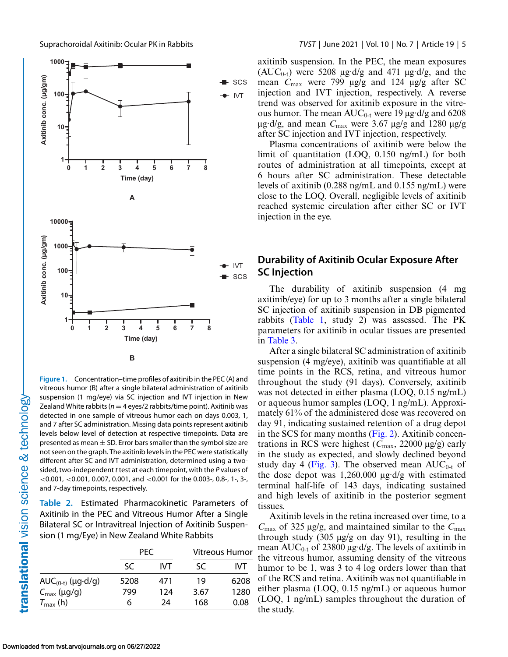<span id="page-4-0"></span>

**Figure 1.** Concentration–time profiles of axitinib in the PEC (A) and vitreous humor (B) after a single bilateral administration of axitinib suspension (1 mg/eye) via SC injection and IVT injection in New Zealand White rabbits ( $n = 4$  eyes/2 rabbits/time point). Axitinib was detected in one sample of vitreous humor each on days 0.003, 1, and 7 after SC administration. Missing data points represent axitinib levels below level of detection at respective timepoints. Data are presented as mean  $\pm$  SD. Error bars smaller than the symbol size are not seen on the graph. The axitinib levels in the PEC were statistically different after SC and IVT administration, determined using a twosided, two-independent *t* test at each timepoint, with the *P* values of <0.001, <0.001, 0.007, 0.001, and <0.001 for the 0.003-, 0.8-, 1-, 3-, and 7-day timepoints, respectively.

**Table 2.** Estimated Pharmacokinetic Parameters of Axitinib in the PEC and Vitreous Humor After a Single Bilateral SC or Intravitreal Injection of Axitinib Suspension (1 mg/Eye) in New Zealand White Rabbits

|                                 | <b>PEC</b> |     | Vitreous Humor |      |
|---------------------------------|------------|-----|----------------|------|
|                                 | SC.        | IVT | SC.            | IVT  |
| $AUC_{(0-t)} (\mu q \cdot d/g)$ | 5208       | 471 | 19             | 6208 |
| $C_{\text{max}}$ (µg/g)         | 799        | 124 | 3.67           | 1280 |
| $T_{\text{max}}$ (h)            | 6          | 24  | 168            | 0.08 |

axitinib suspension. In the PEC, the mean exposures ( $AUC_{0-t}$ ) were 5208  $\mu$ g·d/g and 471  $\mu$ g·d/g, and the mean *C*max were 799 μg/g and 124 μg/g after SC injection and IVT injection, respectively. A reverse trend was observed for axitinib exposure in the vitreous humor. The mean  $AUC_{0-t}$  were 19 μg·d/g and 6208 μg·d/g, and mean *C*max were 3.67 μg/g and 1280 μg/g after SC injection and IVT injection, respectively.

Plasma concentrations of axitinib were below the limit of quantitation (LOQ, 0.150 ng/mL) for both routes of administration at all timepoints, except at 6 hours after SC administration. These detectable levels of axitinib (0.288 ng/mL and 0.155 ng/mL) were close to the LOQ. Overall, negligible levels of axitinib reached systemic circulation after either SC or IVT injection in the eye.

#### **Durability of Axitinib Ocular Exposure After SC Injection**

The durability of axitinib suspension (4 mg axitinib/eye) for up to 3 months after a single bilateral SC injection of axitinib suspension in DB pigmented rabbits [\(Table 1,](#page-2-0) study 2) was assessed. The PK parameters for axitinib in ocular tissues are presented in [Table 3.](#page-5-0)

After a single bilateral SC administration of axitinib suspension (4 mg/eye), axitinib was quantifiable at all time points in the RCS, retina, and vitreous humor throughout the study (91 days). Conversely, axitinib was not detected in either plasma (LOQ, 0.15 ng/mL) or aqueous humor samples (LOQ, 1 ng/mL). Approximately 61% of the administered dose was recovered on day 91, indicating sustained retention of a drug depot in the SCS for many months [\(Fig. 2\)](#page-5-0). Axitinib concentrations in RCS were highest (*C*max, 22000 μg/g) early in the study as expected, and slowly declined beyond study day 4 [\(Fig. 3\)](#page-6-0). The observed mean  $AUC_{0-t}$  of the dose depot was 1,260,000 μg·d/g with estimated terminal half-life of 143 days, indicating sustained and high levels of axitinib in the posterior segment tissues.

Axitinib levels in the retina increased over time, to a *C*max of 325 μg/g, and maintained similar to the *C*max through study  $(305 \text{ µg/g} \text{ on day } 91)$ , resulting in the mean  $AUC_{0-t}$  of 23800 μg·d/g. The levels of axitinib in the vitreous humor, assuming density of the vitreous humor to be 1, was 3 to 4 log orders lower than that of the RCS and retina. Axitinib was not quantifiable in either plasma (LOQ, 0.15 ng/mL) or aqueous humor (LOQ, 1 ng/mL) samples throughout the duration of the study.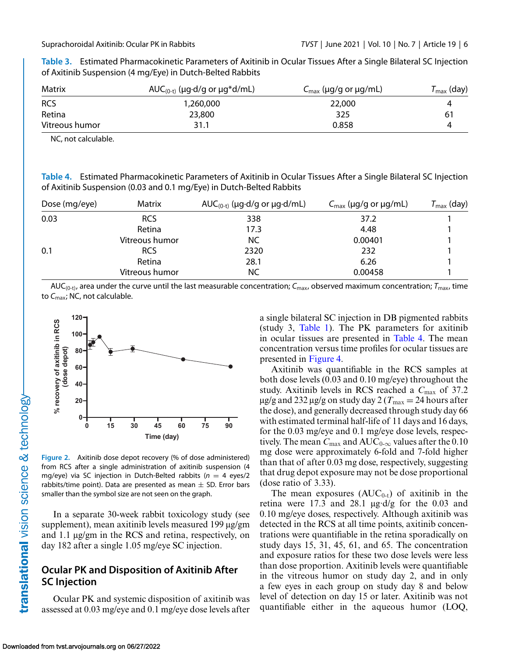<span id="page-5-0"></span>**Table 3.** Estimated Pharmacokinetic Parameters of Axitinib in Ocular Tissues After a Single Bilateral SC Injection of Axitinib Suspension (4 mg/Eye) in Dutch-Belted Rabbits

| Matrix         | $AUC_{(0-t)}$ (µg·d/g or µg*d/mL) | $C_{\text{max}}$ (µg/g or µg/mL) | $T_{\sf max}$ (day) |
|----------------|-----------------------------------|----------------------------------|---------------------|
| <b>RCS</b>     | 1,260,000                         | 22,000                           |                     |
| Retina         | 23,800                            | 325                              | 61                  |
| Vitreous humor | 31.1                              | 0.858                            |                     |

NC, not calculable.

**Table 4.** Estimated Pharmacokinetic Parameters of Axitinib in Ocular Tissues After a Single Bilateral SC Injection of Axitinib Suspension (0.03 and 0.1 mg/Eye) in Dutch-Belted Rabbits

| Dose (mg/eye) | Matrix         | $AUC_{(0-t)}$ (µg·d/g or µg·d/mL) | $C_{\text{max}}$ (µg/g or µg/mL) | $T_{\sf max}$ (day) |
|---------------|----------------|-----------------------------------|----------------------------------|---------------------|
| 0.03          | <b>RCS</b>     | 338                               | 37.2                             |                     |
|               | Retina         | 17.3                              | 4.48                             |                     |
|               | Vitreous humor | NC.                               | 0.00401                          |                     |
| 0.1           | <b>RCS</b>     | 2320                              | 232                              |                     |
|               | Retina         | 28.1                              | 6.26                             |                     |
|               | Vitreous humor | NC.                               | 0.00458                          |                     |

AUC<sub>(0-t)</sub>, area under the curve until the last measurable concentration;  $C_{\text{max}}$ , observed maximum concentration;  $T_{\text{max}}$ , time to C<sub>max</sub>; NC, not calculable.



**Figure 2.** Axitinib dose depot recovery (% of dose administered) from RCS after a single administration of axitinib suspension (4 mg/eye) via SC injection in Dutch-Belted rabbits ( $n = 4$  eyes/2 rabbits/time point). Data are presented as mean  $\pm$  SD. Error bars smaller than the symbol size are not seen on the graph.

In a separate 30-week rabbit toxicology study (see supplement), mean axitinib levels measured 199 μg/gm and 1.1 μg/gm in the RCS and retina, respectively, on day 182 after a single 1.05 mg/eye SC injection.

### **Ocular PK and Disposition of Axitinib After SC Injection**

Ocular PK and systemic disposition of axitinib was assessed at 0.03 mg/eye and 0.1 mg/eye dose levels after a single bilateral SC injection in DB pigmented rabbits (study 3, [Table 1\)](#page-2-0). The PK parameters for axitinib in ocular tissues are presented in Table 4. The mean concentration versus time profiles for ocular tissues are presented in [Figure 4.](#page-7-0)

Axitinib was quantifiable in the RCS samples at both dose levels (0.03 and 0.10 mg/eye) throughout the study. Axitinib levels in RCS reached a *C*max of 37.2 μg/g and 232 μg/g on study day 2 ( $T_{\text{max}}$  = 24 hours after the dose), and generally decreased through study day 66 with estimated terminal half-life of 11 days and 16 days, for the 0.03 mg/eye and 0.1 mg/eye dose levels, respectively. The mean  $C_{\text{max}}$  and  $AUC_{0-\infty}$  values after the 0.10 mg dose were approximately 6-fold and 7-fold higher than that of after 0.03 mg dose, respectively, suggesting that drug depot exposure may not be dose proportional (dose ratio of 3.33).

The mean exposures  $(AUC_{0-t})$  of axitinib in the retina were 17.3 and 28.1 μg·d/g for the 0.03 and 0.10 mg/eye doses, respectively. Although axitinib was detected in the RCS at all time points, axitinib concentrations were quantifiable in the retina sporadically on study days 15, 31, 45, 61, and 65. The concentration and exposure ratios for these two dose levels were less than dose proportion. Axitinib levels were quantifiable in the vitreous humor on study day 2, and in only a few eyes in each group on study day 8 and below level of detection on day 15 or later. Axitinib was not quantifiable either in the aqueous humor (LOQ,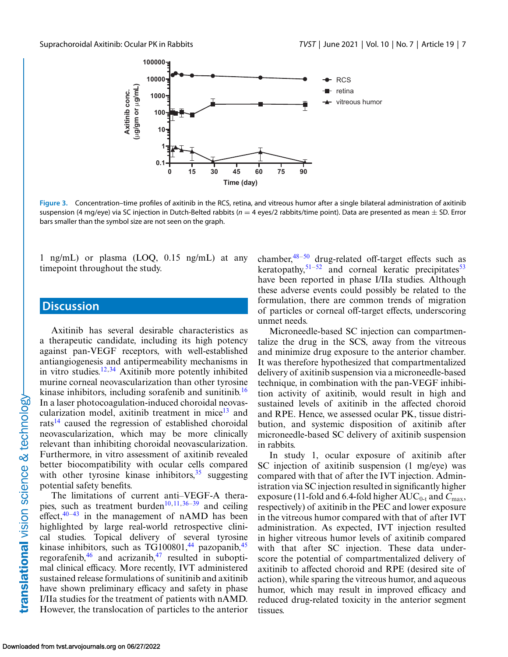<span id="page-6-0"></span>

**Figure 3.** Concentration–time profiles of axitinib in the RCS, retina, and vitreous humor after a single bilateral administration of axitinib suspension (4 mg/eye) via SC injection in Dutch-Belted rabbits (*<sup>n</sup>* <sup>=</sup> 4 eyes/2 rabbits/time point). Data are presented as mean <sup>±</sup> SD. Error bars smaller than the symbol size are not seen on the graph.

1 ng/mL) or plasma (LOQ, 0.15 ng/mL) at any timepoint throughout the study.

### **Discussion**

Axitinib has several desirable characteristics as a therapeutic candidate, including its high potency against pan-VEGF receptors, with well-established antiangiogenesis and antipermeability mechanisms in in vitro studies. $12,34$  $12,34$  Axitinib more potently inhibited murine corneal neovascularization than other tyrosine kinase inhibitors, including sorafenib and sunitinib.<sup>[16](#page-9-0)</sup> In a laser photocoagulation-induced choroidal neovascularization model, axitinib treatment in mice $13$  and rats<sup>[14](#page-9-0)</sup> caused the regression of established choroidal neovascularization, which may be more clinically relevant than inhibiting choroidal neovascularization. Furthermore, in vitro assessment of axitinib revealed better biocompatibility with ocular cells compared with other tyrosine kinase inhibitors,  $35$  suggesting potential safety benefits.

The limitations of current anti–VEGF-A thera-pies, such as treatment burden<sup>[10,11,](#page-9-0)[36–39](#page-10-0)</sup> and ceiling effect, $40-43$  in the management of nAMD has been highlighted by large real-world retrospective clinical studies. Topical delivery of several tyrosine kinase inhibitors, such as  $TG100801,^{44}$  pazopanib,<sup>[45](#page-10-0)</sup> regorafenib,  $46$  and acrizanib,  $47$  resulted in suboptimal clinical efficacy. More recently, IVT administered sustained release formulations of sunitinib and axitinib have shown preliminary efficacy and safety in phase I/IIa studies for the treatment of patients with nAMD. However, the translocation of particles to the anterior

chamber,  $48-50$  drug-related off-target effects such as keratopathy,  $51-52$  $51-52$  and corneal keratic precipitates<sup>[53](#page-11-0)</sup> have been reported in phase I/IIa studies. Although these adverse events could possibly be related to the formulation, there are common trends of migration of particles or corneal off-target effects, underscoring unmet needs.

Microneedle-based SC injection can compartmentalize the drug in the SCS, away from the vitreous and minimize drug exposure to the anterior chamber. It was therefore hypothesized that compartmentalized delivery of axitinib suspension via a microneedle-based technique, in combination with the pan-VEGF inhibition activity of axitinib, would result in high and sustained levels of axitinib in the affected choroid and RPE. Hence, we assessed ocular PK, tissue distribution, and systemic disposition of axitinib after microneedle-based SC delivery of axitinib suspension in rabbits.

In study 1, ocular exposure of axitinib after SC injection of axitinib suspension (1 mg/eye) was compared with that of after the IVT injection. Administration via SC injection resulted in significantly higher exposure (11-fold and 6.4-fold higher AUC<sub>0-t</sub> and  $C_{\text{max}}$ , respectively) of axitinib in the PEC and lower exposure in the vitreous humor compared with that of after IVT administration. As expected, IVT injection resulted in higher vitreous humor levels of axitinib compared with that after SC injection. These data underscore the potential of compartmentalized delivery of axitinib to affected choroid and RPE (desired site of action), while sparing the vitreous humor, and aqueous humor, which may result in improved efficacy and reduced drug-related toxicity in the anterior segment tissues.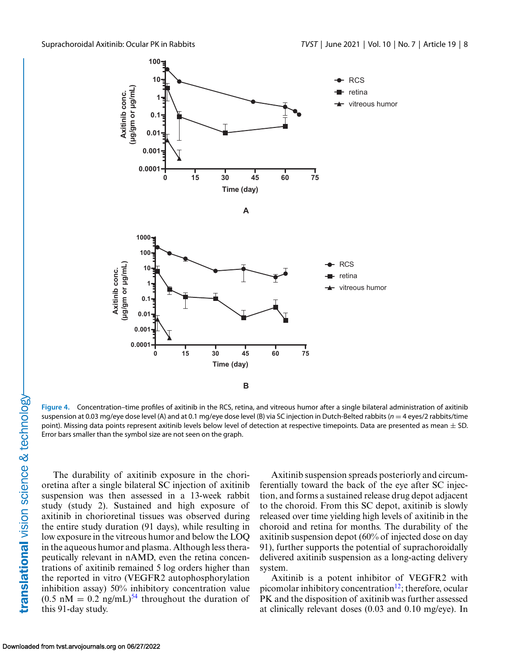<span id="page-7-0"></span>

**Figure 4.** Concentration–time profiles of axitinib in the RCS, retina, and vitreous humor after a single bilateral administration of axitinib suspension at 0.03 mg/eye dose level (A) and at 0.1 mg/eye dose level (B) via SC injection in Dutch-Belted rabbits (*<sup>n</sup>* <sup>=</sup> 4 eyes/2 rabbits/time point). Missing data points represent axitinib levels below level of detection at respective timepoints. Data are presented as mean  $\pm$  SD. Error bars smaller than the symbol size are not seen on the graph.

The durability of axitinib exposure in the chorioretina after a single bilateral SC injection of axitinib suspension was then assessed in a 13-week rabbit study (study 2). Sustained and high exposure of axitinib in chorioretinal tissues was observed during the entire study duration (91 days), while resulting in low exposure in the vitreous humor and below the LOQ in the aqueous humor and plasma. Although less therapeutically relevant in nAMD, even the retina concentrations of axitinib remained 5 log orders higher than the reported in vitro (VEGFR2 autophosphorylation inhibition assay) 50% inhibitory concentration value  $(0.5 \text{ nM} = 0.2 \text{ ng/mL})^{54}$  throughout the duration of this 91-day study.

Axitinib suspension spreads posteriorly and circumferentially toward the back of the eye after SC injection, and forms a sustained release drug depot adjacent to the choroid. From this SC depot, axitinib is slowly released over time yielding high levels of axitinib in the choroid and retina for months. The durability of the axitinib suspension depot (60% of injected dose on day 91), further supports the potential of suprachoroidally delivered axitinib suspension as a long-acting delivery system.

Axitinib is a potent inhibitor of VEGFR2 with picomolar inhibitory concentration<sup>12</sup>; therefore, ocular PK and the disposition of axitinib was further assessed at clinically relevant doses (0.03 and 0.10 mg/eye). In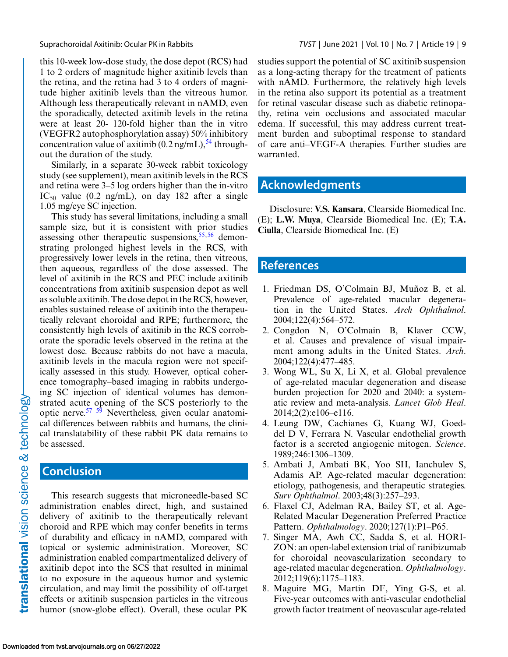<span id="page-8-0"></span>

this 10-week low-dose study, the dose depot (RCS) had 1 to 2 orders of magnitude higher axitinib levels than the retina, and the retina had 3 to 4 orders of magnitude higher axitinib levels than the vitreous humor. Although less therapeutically relevant in nAMD, even the sporadically, detected axitinib levels in the retina were at least 20- 120-fold higher than the in vitro (VEGFR2 autophosphorylation assay) 50% inhibitory concentration value of axitinib  $(0.2 \text{ ng/mL})$ , <sup>[54](#page-11-0)</sup> throughout the duration of the study.

Similarly, in a separate 30-week rabbit toxicology study (see supplement), mean axitinib levels in the RCS and retina were 3–5 log orders higher than the in-vitro  $IC_{50}$  value (0.2 ng/mL), on day 182 after a single 1.05 mg/eye SC injection.

This study has several limitations, including a small sample size, but it is consistent with prior studies assessing other therapeutic suspensions,  $55,56$  demonstrating prolonged highest levels in the RCS, with progressively lower levels in the retina, then vitreous, then aqueous, regardless of the dose assessed. The level of axitinib in the RCS and PEC include axitinib concentrations from axitinib suspension depot as well as soluble axitinib. The dose depot in the RCS, however, enables sustained release of axitinib into the therapeutically relevant choroidal and RPE; furthermore, the consistently high levels of axitinib in the RCS corroborate the sporadic levels observed in the retina at the lowest dose. Because rabbits do not have a macula, axitinib levels in the macula region were not specifically assessed in this study. However, optical coherence tomography–based imaging in rabbits undergoing SC injection of identical volumes has demonstrated acute opening of the SCS posteriorly to the optic nerve.<sup>57–59</sup> Nevertheless, given ocular anatomical differences between rabbits and humans, the clinical translatability of these rabbit PK data remains to be assessed.

## **Conclusion**

This research suggests that microneedle-based SC administration enables direct, high, and sustained delivery of axitinib to the therapeutically relevant choroid and RPE which may confer benefits in terms of durability and efficacy in nAMD, compared with topical or systemic administration. Moreover, SC administration enabled compartmentalized delivery of axitinib depot into the SCS that resulted in minimal to no exposure in the aqueous humor and systemic circulation, and may limit the possibility of off-target effects or axitinib suspension particles in the vitreous humor (snow-globe effect). Overall, these ocular PK studies support the potential of SC axitinib suspension as a long-acting therapy for the treatment of patients with nAMD. Furthermore, the relatively high levels in the retina also support its potential as a treatment for retinal vascular disease such as diabetic retinopathy, retina vein occlusions and associated macular edema. If successful, this may address current treatment burden and suboptimal response to standard of care anti–VEGF-A therapies. Further studies are warranted.

## **Acknowledgments**

Disclosure: **V.S. Kansara**, Clearside Biomedical Inc. (E); **L.W. Muya**, Clearside Biomedical Inc. (E); **T.A. Ciulla**, Clearside Biomedical Inc. (E)

## **References**

- 1. Friedman DS, O'Colmain BJ, Muñoz B, et al. Prevalence of age-related macular degeneration in the United States. *Arch Ophthalmol*. 2004;122(4):564–572.
- 2. Congdon N, O'Colmain B, Klaver CCW, et al. Causes and prevalence of visual impairment among adults in the United States. *Arch*. 2004;122(4):477–485.
- 3. Wong WL, Su X, Li X, et al. Global prevalence of age-related macular degeneration and disease burden projection for 2020 and 2040: a systematic review and meta-analysis. *Lancet Glob Heal*. 2014;2(2):e106–e116.
- 4. Leung DW, Cachianes G, Kuang WJ, Goeddel D V, Ferrara N. Vascular endothelial growth factor is a secreted angiogenic mitogen. *Science*. 1989;246:1306–1309.
- 5. Ambati J, Ambati BK, Yoo SH, Ianchulev S, Adamis AP. Age-related macular degeneration: etiology, pathogenesis, and therapeutic strategies. *Surv Ophthalmol*. 2003;48(3):257–293.
- 6. Flaxel CJ, Adelman RA, Bailey ST, et al. Age-Related Macular Degeneration Preferred Practice Pattern. *Ophthalmology*. 2020;127(1):P1–P65.
- 7. Singer MA, Awh CC, Sadda S, et al. HORI-ZON: an open-label extension trial of ranibizumab for choroidal neovascularization secondary to age-related macular degeneration. *Ophthalmology*. 2012;119(6):1175–1183.
- 8. Maguire MG, Martin DF, Ying G-S, et al. Five-year outcomes with anti-vascular endothelial growth factor treatment of neovascular age-related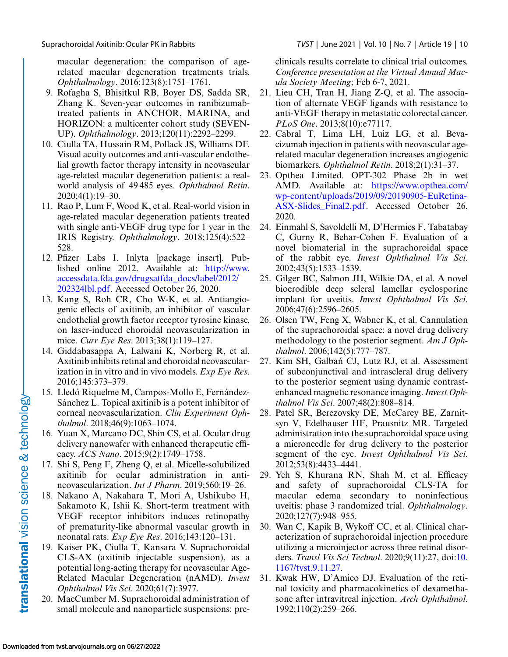<span id="page-9-0"></span>macular degeneration: the comparison of agerelated macular degeneration treatments trials. *Ophthalmology*. 2016;123(8):1751–1761.

- 9. Rofagha S, Bhisitkul RB, Boyer DS, Sadda SR, Zhang K. Seven-year outcomes in ranibizumabtreated patients in ANCHOR, MARINA, and HORIZON: a multicenter cohort study (SEVEN-UP). *Ophthalmology*. 2013;120(11):2292–2299.
- 10. Ciulla TA, Hussain RM, Pollack JS, Williams DF. Visual acuity outcomes and anti-vascular endothelial growth factor therapy intensity in neovascular age-related macular degeneration patients: a realworld analysis of 49 485 eyes. *Ophthalmol Retin*. 2020;4(1):19–30.
- 11. Rao P, Lum F, Wood K, et al. Real-world vision in age-related macular degeneration patients treated with single anti-VEGF drug type for 1 year in the IRIS Registry. *Ophthalmology*. 2018;125(4):522– 528.
- 12. Pfizer Labs I. Inlyta [package insert]. Published online 2012. Available at: http://www. [accessdata.fda.gov/drugsatfda\\_docs/label/2012/](http://www.accessdata.fda.gov/drugsatfda10docs/label/2012/202324lbl.pdf) 202324lbl.pdf. Accessed October 26, 2020.
- 13. Kang S, Roh CR, Cho W-K, et al. Antiangiogenic effects of axitinib, an inhibitor of vascular endothelial growth factor receptor tyrosine kinase, on laser-induced choroidal neovascularization in mice. *Curr Eye Res*. 2013;38(1):119–127.
- 14. Giddabasappa A, Lalwani K, Norberg R, et al. Axitinib inhibits retinal and choroidal neovascularization in in vitro and in vivo models. *Exp Eye Res*. 2016;145:373–379.
- 15. Lledó Riquelme M, Campos-Mollo E, Fernández-Sánchez L. Topical axitinib is a potent inhibitor of corneal neovascularization. *Clin Experiment Ophthalmol*. 2018;46(9):1063–1074.
- 16. Yuan X, Marcano DC, Shin CS, et al. Ocular drug delivery nanowafer with enhanced therapeutic efficacy. *ACS Nano*. 2015;9(2):1749–1758.
- 17. Shi S, Peng F, Zheng Q, et al. Micelle-solubilized axitinib for ocular administration in antineovascularization. *Int J Pharm*. 2019;560:19–26.
- 18. Nakano A, Nakahara T, Mori A, Ushikubo H, Sakamoto K, Ishii K. Short-term treatment with VEGF receptor inhibitors induces retinopathy of prematurity-like abnormal vascular growth in neonatal rats. *Exp Eye Res*. 2016;143:120–131.
- 19. Kaiser PK, Ciulla T, Kansara V. Suprachoroidal CLS-AX (axitinib injectable suspension), as a potential long-acting therapy for neovascular Age-Related Macular Degeneration (nAMD). *Invest Ophthalmol Vis Sci*. 2020;61(7):3977.
- 20. MacCumber M. Suprachoroidal administration of small molecule and nanoparticle suspensions: pre-

clinicals results correlate to clinical trial outcomes. *Conference presentation at the Virtual Annual Macula Society Meeting*; Feb 6-7, 2021.

- 21. Lieu CH, Tran H, Jiang Z-Q, et al. The association of alternate VEGF ligands with resistance to anti-VEGF therapy in metastatic colorectal cancer. *PLoS One*. 2013;8(10):e77117.
- 22. Cabral T, Lima LH, Luiz LG, et al. Bevacizumab injection in patients with neovascular agerelated macular degeneration increases angiogenic biomarkers. *Ophthalmol Retin*. 2018;2(1):31–37.
- 23. Opthea Limited. OPT-302 Phase 2b in wet AMD. Available at: https://www.opthea.com/ wp-content/uploads/2019/09/20190905-EuRetina-[ASX-Slides\\_Final2.pdf. Accessed October 26,](https://www.opthea.com/wp-content/uploads/2019/09/20190905-EuRetina-ASX-Slides10Final2.pdf) 2020.
- 24. Einmahl S, Savoldelli M, D'Hermies F, Tabatabay C, Gurny R, Behar-Cohen F. Evaluation of a novel biomaterial in the suprachoroidal space of the rabbit eye. *Invest Ophthalmol Vis Sci*. 2002;43(5):1533–1539.
- 25. Gilger BC, Salmon JH, Wilkie DA, et al. A novel bioerodible deep scleral lamellar cyclosporine implant for uveitis. *Invest Ophthalmol Vis Sci*. 2006;47(6):2596–2605.
- 26. Olsen TW, Feng X, Wabner K, et al. Cannulation of the suprachoroidal space: a novel drug delivery methodology to the posterior segment. *Am J Ophthalmol*. 2006;142(5):777–787.
- 27. Kim SH, Galbań CJ, Lutz RJ, et al. Assessment of subconjunctival and intrascleral drug delivery to the posterior segment using dynamic contrastenhanced magnetic resonance imaging.*Invest Ophthalmol Vis Sci*. 2007;48(2):808–814.
- 28. Patel SR, Berezovsky DE, McCarey BE, Zarnitsyn V, Edelhauser HF, Prausnitz MR. Targeted administration into the suprachoroidal space using a microneedle for drug delivery to the posterior segment of the eye. *Invest Ophthalmol Vis Sci*. 2012;53(8):4433–4441.
- 29. Yeh S, Khurana RN, Shah M, et al. Efficacy and safety of suprachoroidal CLS-TA for macular edema secondary to noninfectious uveitis: phase 3 randomized trial. *Ophthalmology*. 2020;127(7):948–955.
- 30. Wan C, Kapik B, Wykoff CC, et al. Clinical characterization of suprachoroidal injection procedure utilizing a microinjector across three retinal disorders. *Transl Vis Sci Technol*[. 2020;9\(11\):27, doi:10.](http://doi.org/10.1167/tvst.9.11.27) 1167/tvst.9.11.27.
- 31. Kwak HW, D'Amico DJ. Evaluation of the retinal toxicity and pharmacokinetics of dexamethasone after intravitreal injection. *Arch Ophthalmol*. 1992;110(2):259–266.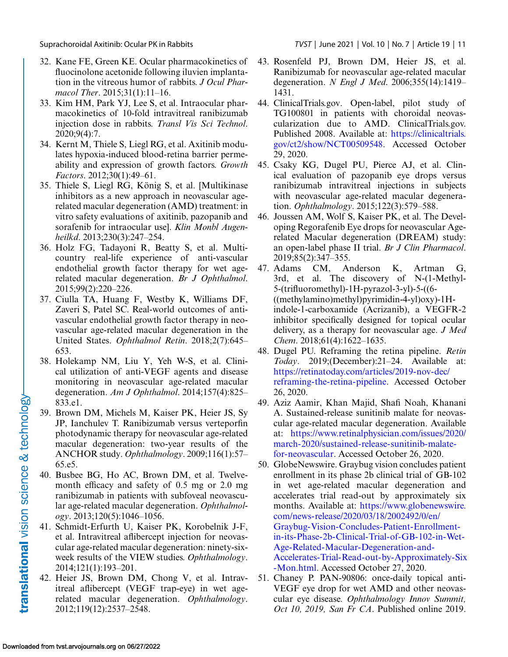- 32. Kane FE, Green KE. Ocular pharmacokinetics of fluocinolone acetonide following iluvien implantation in the vitreous humor of rabbits. *J Ocul Pharmacol Ther*. 2015;31(1):11–16.
- 33. Kim HM, Park YJ, Lee S, et al. Intraocular pharmacokinetics of 10-fold intravitreal ranibizumab injection dose in rabbits. *Transl Vis Sci Technol*. 2020;9(4):7.
- 34. Kernt M, Thiele S, Liegl RG, et al. Axitinib modulates hypoxia-induced blood-retina barrier permeability and expression of growth factors. *Growth Factors*. 2012;30(1):49–61.
- 35. Thiele S, Liegl RG, König S, et al. [Multikinase inhibitors as a new approach in neovascular agerelated macular degeneration (AMD) treatment: in vitro safety evaluations of axitinib, pazopanib and sorafenib for intraocular use]. *Klin Monbl Augenheilkd*. 2013;230(3):247–254.
- 36. Holz FG, Tadayoni R, Beatty S, et al. Multicountry real-life experience of anti-vascular endothelial growth factor therapy for wet agerelated macular degeneration. *Br J Ophthalmol*. 2015;99(2):220–226.
- 37. Ciulla TA, Huang F, Westby K, Williams DF, Zaveri S, Patel SC. Real-world outcomes of antivascular endothelial growth factor therapy in neovascular age-related macular degeneration in the United States. *Ophthalmol Retin*. 2018;2(7):645– 653.
- 38. Holekamp NM, Liu Y, Yeh W-S, et al. Clinical utilization of anti-VEGF agents and disease monitoring in neovascular age-related macular degeneration. *Am J Ophthalmol*. 2014;157(4):825– 833.e1.
- 39. Brown DM, Michels M, Kaiser PK, Heier JS, Sy JP, Ianchulev T. Ranibizumab versus verteporfin photodynamic therapy for neovascular age-related macular degeneration: two-year results of the ANCHOR study. *Ophthalmology*. 2009;116(1):57– 65.e5.
- 40. Busbee BG, Ho AC, Brown DM, et al. Twelvemonth efficacy and safety of 0.5 mg or 2.0 mg ranibizumab in patients with subfoveal neovascular age-related macular degeneration. *Ophthalmology*. 2013;120(5):1046–1056.
- 41. Schmidt-Erfurth U, Kaiser PK, Korobelnik J-F, et al. Intravitreal aflibercept injection for neovascular age-related macular degeneration: ninety-sixweek results of the VIEW studies. *Ophthalmology*. 2014;121(1):193–201.
- 42. Heier JS, Brown DM, Chong V, et al. Intravitreal aflibercept (VEGF trap-eye) in wet agerelated macular degeneration. *Ophthalmology*. 2012;119(12):2537–2548.
- <span id="page-10-0"></span>Suprachoroidal Axitinib: Ocular PK in Rabbits *TVST* | June 2021 | Vol. 10 | No. 7 | Article 19 | 11
	- 43. Rosenfeld PJ, Brown DM, Heier JS, et al. Ranibizumab for neovascular age-related macular degeneration. *N Engl J Med*. 2006;355(14):1419– 1431.
	- 44. ClinicalTrials.gov. Open-label, pilot study of TG100801 in patients with choroidal neovascularization due to AMD. ClinicalTrials.gov. Published 2008. Available at: https://clinicaltrials. [gov/ct2/show/NCT00509548. Accessed October](https://clinicaltrials.gov/ct2/show/NCT00509548) 29, 2020.
	- 45. Csaky KG, Dugel PU, Pierce AJ, et al. Clinical evaluation of pazopanib eye drops versus ranibizumab intravitreal injections in subjects with neovascular age-related macular degeneration. *Ophthalmology*. 2015;122(3):579–588.
	- 46. Joussen AM, Wolf S, Kaiser PK, et al. The Developing Regorafenib Eye drops for neovascular Agerelated Macular degeneration (DREAM) study: an open-label phase II trial. *Br J Clin Pharmacol*. 2019;85(2):347–355.
	- 47. Adams CM, Anderson K, Artman G, 3rd, et al. The discovery of N-(1-Methyl-5-(trifluoromethyl)-1H-pyrazol-3-yl)-5-((6- ((methylamino)methyl)pyrimidin-4-yl)oxy)-1Hindole-1-carboxamide (Acrizanib), a VEGFR-2 inhibitor specifically designed for topical ocular delivery, as a therapy for neovascular age. *J Med Chem*. 2018;61(4):1622–1635.
	- 48. Dugel PU. Reframing the retina pipeline. *Retin Today*. 2019;(December):21–24. Available at: https://retinatoday.com/articles/2019-nov-dec/ [reframing-the-retina-pipeline. Accessed Octo](https://retinatoday.com/articles/2019-nov-dec/reframing-the-retina-pipeline)ber 26, 2020.
	- 49. Aziz Aamir, Khan Majid, Shafi Noah, Khanani A. Sustained-release sunitinib malate for neovascular age-related macular degeneration. Available at: https://www.retinalphysician.com/issues/2020/ [march-2020/sustained-release-sunitinib-malate](https://www.retinalphysician.com/issues/2020/march-2020/sustained-release-sunitinib-malate-for-neovascular)for-neovascular. Accessed October 26, 2020.
	- 50. GlobeNewswire. Graybug vision concludes patient enrollment in its phase 2b clinical trial of GB-102 in wet age-related macular degeneration and accelerates trial read-out by approximately six months. Available at: https://www.globenewswire. com/news-release/2020/03/18/2002492/0/en/ Graybug-Vision-Concludes-Patient-Enrollmentin-its-Phase-2b-Clinical-Trial-of-GB-102-in-Wet-Age-Related-Macular-Degeneration-and-[Accelerates-Trial-Read-out-by-Approximately-Six](https://www.globenewswire.com/news-release/2020/03/18/2002492/0/en/Graybug-Vision-Concludes-Patient-Enrollment-in-its-Phase-2b-Clinical-Trial-of-GB-102-in-Wet-Age-Related-Macular-Degeneration-and-Accelerates-Trial-Read-out-by-Approximately-Six-Mon.html) -Mon.html. Accessed October 27, 2020.
	- 51. Chaney P. PAN-90806: once-daily topical anti-VEGF eye drop for wet AMD and other neovascular eye disease. *Ophthalmology Innov Summit, Oct 10, 2019, San Fr CA*. Published online 2019.